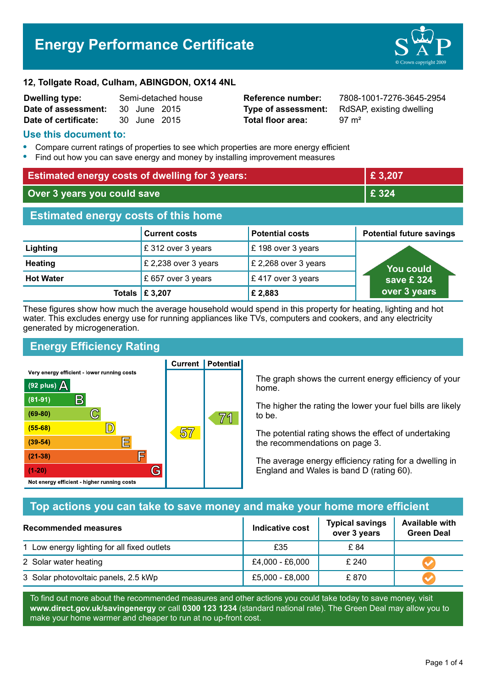# **Energy Performance Certificate**



#### **12, Tollgate Road, Culham, ABINGDON, OX14 4NL**

| <b>Dwelling type:</b> | Semi-detached house |              |  |
|-----------------------|---------------------|--------------|--|
| Date of assessment:   |                     | 30 June 2015 |  |
| Date of certificate:  |                     | 30 June 2015 |  |

# **Total floor area:** 97 m<sup>2</sup>

**Reference number:** 7808-1001-7276-3645-2954 **Type of assessment:** RdSAP, existing dwelling

# **Use this document to:**

- **•** Compare current ratings of properties to see which properties are more energy efficient
- **•** Find out how you can save energy and money by installing improvement measures

| <b>Estimated energy costs of dwelling for 3 years:</b> |                           |                        | £ 3,207                         |  |
|--------------------------------------------------------|---------------------------|------------------------|---------------------------------|--|
| Over 3 years you could save                            |                           | £ 324                  |                                 |  |
| <b>Estimated energy costs of this home</b>             |                           |                        |                                 |  |
|                                                        | <b>Current costs</b>      | <b>Potential costs</b> | <b>Potential future savings</b> |  |
| Lighting                                               | £ 312 over 3 years        | $E$ 198 over 3 years   |                                 |  |
| <b>Heating</b>                                         | £ 2,238 over 3 years      | £ 2,268 over 3 years   | You could                       |  |
| <b>Hot Water</b>                                       | £ 657 over 3 years        | £417 over 3 years      | save £324                       |  |
|                                                        | Totals $\mathsf{E}$ 3,207 | £2,883                 | over 3 years                    |  |

These figures show how much the average household would spend in this property for heating, lighting and hot water. This excludes energy use for running appliances like TVs, computers and cookers, and any electricity generated by microgeneration.

**Current | Potential** 

# **Energy Efficiency Rating**

Very energy efficient - lower running costs



The graph shows the current energy efficiency of your home.

The higher the rating the lower your fuel bills are likely to be.

The potential rating shows the effect of undertaking the recommendations on page 3.

The average energy efficiency rating for a dwelling in England and Wales is band D (rating 60).

# **Top actions you can take to save money and make your home more efficient**

| Recommended measures                        | Indicative cost | <b>Typical savings</b><br>over 3 years | <b>Available with</b><br><b>Green Deal</b> |
|---------------------------------------------|-----------------|----------------------------------------|--------------------------------------------|
| 1 Low energy lighting for all fixed outlets | £35             | £ 84                                   |                                            |
| 2 Solar water heating                       | £4,000 - £6,000 | £240                                   |                                            |
| 3 Solar photovoltaic panels, 2.5 kWp        | £5,000 - £8,000 | £870                                   |                                            |

To find out more about the recommended measures and other actions you could take today to save money, visit **www.direct.gov.uk/savingenergy** or call **0300 123 1234** (standard national rate). The Green Deal may allow you to make your home warmer and cheaper to run at no up-front cost.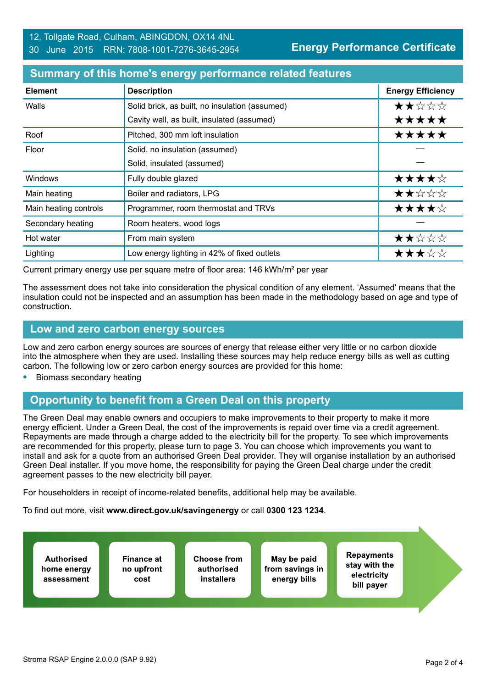#### **Summary of this home's energy performance related features**

| <b>Element</b>        | <b>Description</b>                             | <b>Energy Efficiency</b> |
|-----------------------|------------------------------------------------|--------------------------|
| Walls                 | Solid brick, as built, no insulation (assumed) | ★★☆☆☆                    |
|                       | Cavity wall, as built, insulated (assumed)     | *****                    |
| Roof                  | Pitched, 300 mm loft insulation                | *****                    |
| Floor                 | Solid, no insulation (assumed)                 |                          |
|                       | Solid, insulated (assumed)                     |                          |
| Windows               | Fully double glazed                            | ★★★★☆                    |
| Main heating          | Boiler and radiators, LPG                      | ★★☆☆☆                    |
| Main heating controls | Programmer, room thermostat and TRVs           | ★★★★☆                    |
| Secondary heating     | Room heaters, wood logs                        |                          |
| Hot water             | From main system                               | ★★☆☆☆                    |
| Lighting              | Low energy lighting in 42% of fixed outlets    | ★★★☆☆                    |

Current primary energy use per square metre of floor area: 146 kWh/m² per year

The assessment does not take into consideration the physical condition of any element. 'Assumed' means that the insulation could not be inspected and an assumption has been made in the methodology based on age and type of construction.

#### **Low and zero carbon energy sources**

Low and zero carbon energy sources are sources of energy that release either very little or no carbon dioxide into the atmosphere when they are used. Installing these sources may help reduce energy bills as well as cutting carbon. The following low or zero carbon energy sources are provided for this home:

**•** Biomass secondary heating

# **Opportunity to benefit from a Green Deal on this property**

The Green Deal may enable owners and occupiers to make improvements to their property to make it more energy efficient. Under a Green Deal, the cost of the improvements is repaid over time via a credit agreement. Repayments are made through a charge added to the electricity bill for the property. To see which improvements are recommended for this property, please turn to page 3. You can choose which improvements you want to install and ask for a quote from an authorised Green Deal provider. They will organise installation by an authorised Green Deal installer. If you move home, the responsibility for paying the Green Deal charge under the credit agreement passes to the new electricity bill payer.

For householders in receipt of income-related benefits, additional help may be available.

To find out more, visit **www.direct.gov.uk/savingenergy** or call **0300 123 1234**.

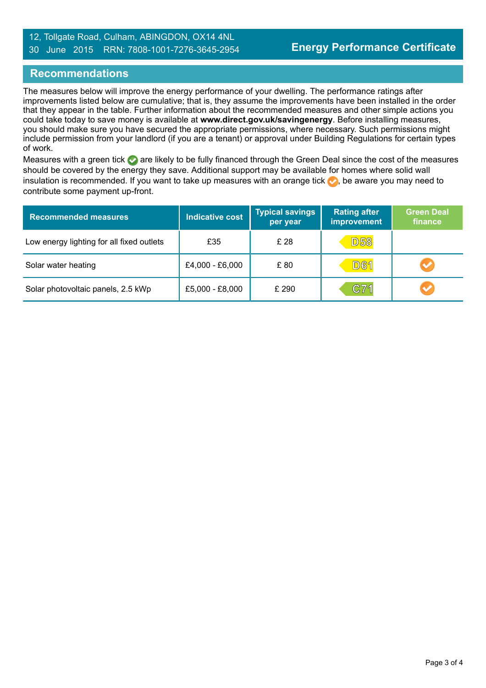#### 12, Tollgate Road, Culham, ABINGDON, OX14 4NL 30 June 2015 RRN: 7808-1001-7276-3645-2954

# **Recommendations**

The measures below will improve the energy performance of your dwelling. The performance ratings after improvements listed below are cumulative; that is, they assume the improvements have been installed in the order that they appear in the table. Further information about the recommended measures and other simple actions you could take today to save money is available at **www.direct.gov.uk/savingenergy**. Before installing measures, you should make sure you have secured the appropriate permissions, where necessary. Such permissions might include permission from your landlord (if you are a tenant) or approval under Building Regulations for certain types of work.

Measures with a green tick are likely to be fully financed through the Green Deal since the cost of the measures should be covered by the energy they save. Additional support may be available for homes where solid wall insulation is recommended. If you want to take up measures with an orange tick  $\blacklozenge$ , be aware you may need to contribute some payment up-front.

| <b>Recommended measures</b>               | <b>Indicative cost</b> | <b>Typical savings</b><br>per year | <b>Rating after</b><br>improvement | <b>Green Deal</b><br>finance |
|-------------------------------------------|------------------------|------------------------------------|------------------------------------|------------------------------|
| Low energy lighting for all fixed outlets | £35                    | £ 28                               | <b>D58</b>                         |                              |
| Solar water heating                       | £4,000 - £6,000        | £80                                | <b>D61</b>                         | V                            |
| Solar photovoltaic panels, 2.5 kWp        | £5,000 - £8,000        | £ 290                              | C71                                | $\blacktriangledown$         |